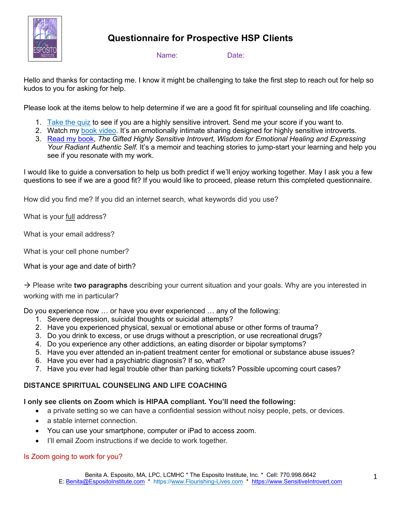

# **Questionnaire for Prospective HSP Clients**

Name: Date:

Hello and thanks for contacting me. I know it might be challenging to take the first step to reach out for help so kudos to you for asking for help.

Please look at the items below to help determine if we are a good fit for spiritual counseling and life coaching.

- 1. Take the quiz to see if you are a highly sensitive introvert. Send me your score if you want to.
- 2. Watch my book video. It's an emotionally intimate sharing designed for highly sensitive introverts.
- 3. Read my book, *The Gifted Highly Sensitive Introvert*, *Wisdom for Emotional Healing and Expressing Your Radiant Authentic Self.* It's a memoir and teaching stories to jump-start your learning and help you see if you resonate with my work.

I would like to guide a conversation to help us both predict if we'll enjoy working together. May I ask you a few questions to see if we are a good fit? If you would like to proceed, please return this completed questionnaire.

How did you find me? If you did an internet search, what keywords did you use?

What is your full address?

What is your email address?

What is your cell phone number?

What is your age and date of birth?

à Please write **two paragraphs** describing your current situation and your goals. Why are you interested in working with me in particular?

Do you experience now … or have you ever experienced … any of the following:

- 1. Severe depression, suicidal thoughts or suicidal attempts?
- 2. Have you experienced physical, sexual or emotional abuse or other forms of trauma?
- 3. Do you drink to excess, or use drugs without a prescription, or use recreational drugs?
- 4. Do you experience any other addictions, an eating disorder or bipolar symptoms?
- 5. Have you ever attended an in-patient treatment center for emotional or substance abuse issues?
- 6. Have you ever had a psychiatric diagnosis? If so, what?
- 7. Have you ever had legal trouble other than parking tickets? Possible upcoming court cases?

# **DISTANCE SPIRITUAL COUNSELING AND LIFE COACHING**

# **I only see clients on Zoom which is HIPAA compliant. You'll need the following:**

- a private setting so we can have a confidential session without noisy people, pets, or devices.
- a stable internet connection.
- You can use your smartphone, computer or iPad to access zoom.
- I'll email Zoom instructions if we decide to work together.

# Is Zoom going to work for you?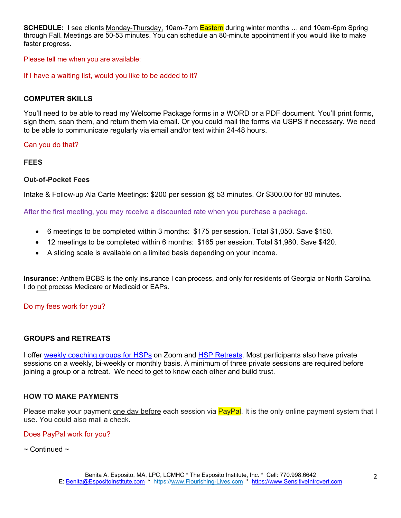**SCHEDULE:** I see clients Monday-Thursday, 10am-7pm Eastern during winter months … and 10am-6pm Spring through Fall. Meetings are 50-53 minutes. You can schedule an 80-minute appointment if you would like to make faster progress.

Please tell me when you are available:

If I have a waiting list, would you like to be added to it?

# **COMPUTER SKILLS**

You'll need to be able to read my Welcome Package forms in a WORD or a PDF document. You'll print forms, sign them, scan them, and return them via email. Or you could mail the forms via USPS if necessary. We need to be able to communicate regularly via email and/or text within 24-48 hours.

Can you do that?

#### **FEES**

#### **Out-of-Pocket Fees**

Intake & Follow-up Ala Carte Meetings: \$200 per session @ 53 minutes. Or \$300.00 for 80 minutes.

After the first meeting, you may receive a discounted rate when you purchase a package.

- 6 meetings to be completed within 3 months: \$175 per session. Total \$1,050. Save \$150.
- 12 meetings to be completed within 6 months: \$165 per session. Total \$1,980. Save \$420.
- A sliding scale is available on a limited basis depending on your income.

**Insurance:** Anthem BCBS is the only insurance I can process, and only for residents of Georgia or North Carolina. I do not process Medicare or Medicaid or EAPs.

#### Do my fees work for you?

# **GROUPS and RETREATS**

I offer weekly coaching groups for HSPs on Zoom and HSP Retreats. Most participants also have private sessions on a weekly, bi-weekly or monthly basis. A minimum of three private sessions are required before joining a group or a retreat. We need to get to know each other and build trust.

#### **HOW TO MAKE PAYMENTS**

Please make your payment one day before each session via PayPal. It is the only online payment system that I use. You could also mail a check.

#### Does PayPal work for you?

 $\sim$  Continued  $\sim$